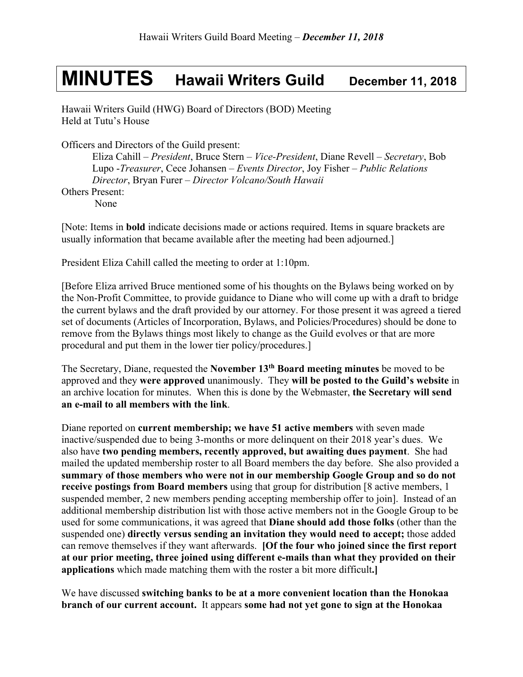## **MINUTES Hawaii Writers Guild December 11, <sup>2018</sup>**

Hawaii Writers Guild (HWG) Board of Directors (BOD) Meeting Held at Tutu's House

Officers and Directors of the Guild present:

Eliza Cahill – *President*, Bruce Stern – *Vice-President*, Diane Revell – *Secretary*, Bob Lupo -*Treasurer*, Cece Johansen – *Events Director*, Joy Fisher – *Public Relations Director*, Bryan Furer – *Director Volcano/South Hawaii* Others Present:

None

[Note: Items in **bold** indicate decisions made or actions required. Items in square brackets are usually information that became available after the meeting had been adjourned.]

President Eliza Cahill called the meeting to order at 1:10pm.

[Before Eliza arrived Bruce mentioned some of his thoughts on the Bylaws being worked on by the Non-Profit Committee, to provide guidance to Diane who will come up with a draft to bridge the current bylaws and the draft provided by our attorney. For those present it was agreed a tiered set of documents (Articles of Incorporation, Bylaws, and Policies/Procedures) should be done to remove from the Bylaws things most likely to change as the Guild evolves or that are more procedural and put them in the lower tier policy/procedures.]

The Secretary, Diane, requested the **November 13th Board meeting minutes** be moved to be approved and they **were approved** unanimously. They **will be posted to the Guild's website** in an archive location for minutes. When this is done by the Webmaster, **the Secretary will send an e-mail to all members with the link**.

Diane reported on **current membership; we have 51 active members** with seven made inactive/suspended due to being 3-months or more delinquent on their 2018 year's dues. We also have **two pending members, recently approved, but awaiting dues payment**. She had mailed the updated membership roster to all Board members the day before. She also provided a **summary of those members who were not in our membership Google Group and so do not receive postings from Board members** using that group for distribution [8 active members, 1 suspended member, 2 new members pending accepting membership offer to join]. Instead of an additional membership distribution list with those active members not in the Google Group to be used for some communications, it was agreed that **Diane should add those folks** (other than the suspended one) **directly versus sending an invitation they would need to accept;** those added can remove themselves if they want afterwards. **[Of the four who joined since the first report at our prior meeting, three joined using different e-mails than what they provided on their applications** which made matching them with the roster a bit more difficult**.]**

We have discussed **switching banks to be at a more convenient location than the Honokaa branch of our current account.** It appears **some had not yet gone to sign at the Honokaa**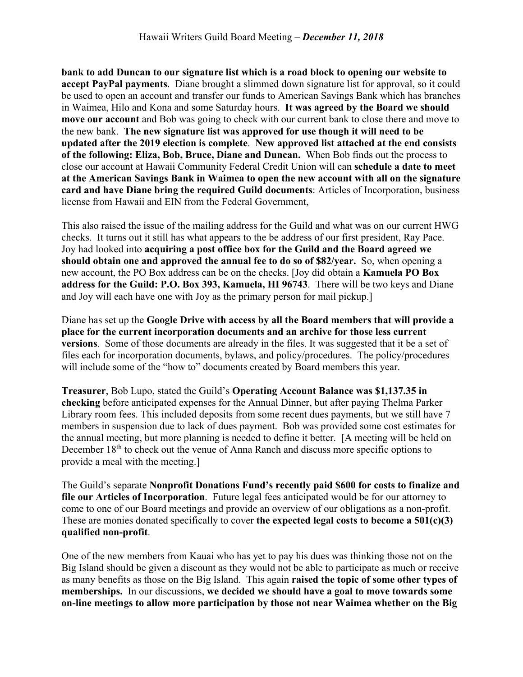**bank to add Duncan to our signature list which is a road block to opening our website to accept PayPal payments**. Diane brought a slimmed down signature list for approval, so it could be used to open an account and transfer our funds to American Savings Bank which has branches in Waimea, Hilo and Kona and some Saturday hours. **It was agreed by the Board we should move our account** and Bob was going to check with our current bank to close there and move to the new bank. **The new signature list was approved for use though it will need to be updated after the 2019 election is complete**. **New approved list attached at the end consists of the following: Eliza, Bob, Bruce, Diane and Duncan.** When Bob finds out the process to close our account at Hawaii Community Federal Credit Union will can **schedule a date to meet at the American Savings Bank in Waimea to open the new account with all on the signature card and have Diane bring the required Guild documents**: Articles of Incorporation, business license from Hawaii and EIN from the Federal Government,

This also raised the issue of the mailing address for the Guild and what was on our current HWG checks. It turns out it still has what appears to the be address of our first president, Ray Pace. Joy had looked into **acquiring a post office box for the Guild and the Board agreed we should obtain one and approved the annual fee to do so of \$82/year.** So, when opening a new account, the PO Box address can be on the checks. [Joy did obtain a **Kamuela PO Box address for the Guild: P.O. Box 393, Kamuela, HI 96743**. There will be two keys and Diane and Joy will each have one with Joy as the primary person for mail pickup.]

Diane has set up the **Google Drive with access by all the Board members that will provide a place for the current incorporation documents and an archive for those less current versions**. Some of those documents are already in the files. It was suggested that it be a set of files each for incorporation documents, bylaws, and policy/procedures. The policy/procedures will include some of the "how to" documents created by Board members this year.

**Treasurer**, Bob Lupo, stated the Guild's **Operating Account Balance was \$1,137.35 in checking** before anticipated expenses for the Annual Dinner, but after paying Thelma Parker Library room fees. This included deposits from some recent dues payments, but we still have 7 members in suspension due to lack of dues payment. Bob was provided some cost estimates for the annual meeting, but more planning is needed to define it better. [A meeting will be held on December 18<sup>th</sup> to check out the venue of Anna Ranch and discuss more specific options to provide a meal with the meeting.]

The Guild's separate **Nonprofit Donations Fund's recently paid \$600 for costs to finalize and file our Articles of Incorporation**. Future legal fees anticipated would be for our attorney to come to one of our Board meetings and provide an overview of our obligations as a non-profit. These are monies donated specifically to cover **the expected legal costs to become a 501(c)(3) qualified non-profit**.

One of the new members from Kauai who has yet to pay his dues was thinking those not on the Big Island should be given a discount as they would not be able to participate as much or receive as many benefits as those on the Big Island. This again **raised the topic of some other types of memberships.** In our discussions, **we decided we should have a goal to move towards some on-line meetings to allow more participation by those not near Waimea whether on the Big**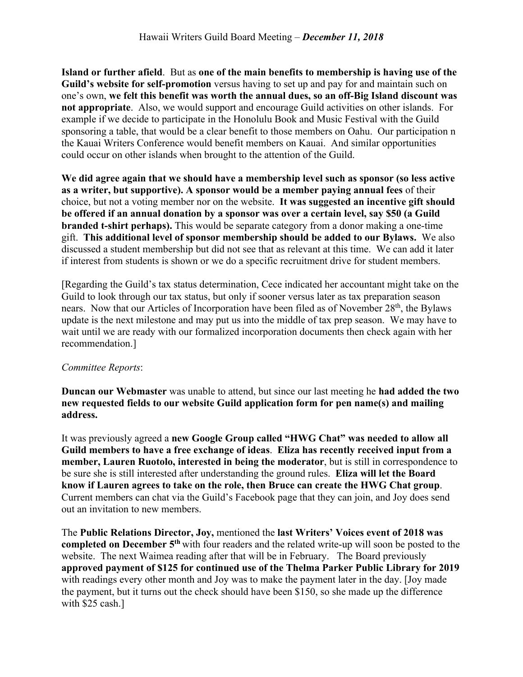**Island or further afield**. But as **one of the main benefits to membership is having use of the Guild's website for self-promotion** versus having to set up and pay for and maintain such on one's own, **we felt this benefit was worth the annual dues, so an off-Big Island discount was not appropriate**. Also, we would support and encourage Guild activities on other islands. For example if we decide to participate in the Honolulu Book and Music Festival with the Guild sponsoring a table, that would be a clear benefit to those members on Oahu. Our participation n the Kauai Writers Conference would benefit members on Kauai. And similar opportunities could occur on other islands when brought to the attention of the Guild.

**We did agree again that we should have a membership level such as sponsor (so less active as a writer, but supportive). A sponsor would be a member paying annual fees** of their choice, but not a voting member nor on the website. **It was suggested an incentive gift should be offered if an annual donation by a sponsor was over a certain level, say \$50 (a Guild branded t-shirt perhaps).** This would be separate category from a donor making a one-time gift. **This additional level of sponsor membership should be added to our Bylaws.** We also discussed a student membership but did not see that as relevant at this time. We can add it later if interest from students is shown or we do a specific recruitment drive for student members.

[Regarding the Guild's tax status determination, Cece indicated her accountant might take on the Guild to look through our tax status, but only if sooner versus later as tax preparation season nears. Now that our Articles of Incorporation have been filed as of November 28<sup>th</sup>, the Bylaws update is the next milestone and may put us into the middle of tax prep season. We may have to wait until we are ready with our formalized incorporation documents then check again with her recommendation.]

## *Committee Reports*:

**Duncan our Webmaster** was unable to attend, but since our last meeting he **had added the two new requested fields to our website Guild application form for pen name(s) and mailing address.**

It was previously agreed a **new Google Group called "HWG Chat" was needed to allow all Guild members to have a free exchange of ideas**. **Eliza has recently received input from a member, Lauren Ruotolo, interested in being the moderator**, but is still in correspondence to be sure she is still interested after understanding the ground rules. **Eliza will let the Board know if Lauren agrees to take on the role, then Bruce can create the HWG Chat group**. Current members can chat via the Guild's Facebook page that they can join, and Joy does send out an invitation to new members.

The **Public Relations Director, Joy,** mentioned the **last Writers' Voices event of 2018 was completed on December 5th** with four readers and the related write-up will soon be posted to the website. The next Waimea reading after that will be in February. The Board previously **approved payment of \$125 for continued use of the Thelma Parker Public Library for 2019** with readings every other month and Joy was to make the payment later in the day. [Joy made the payment, but it turns out the check should have been \$150, so she made up the difference with \$25 cash.]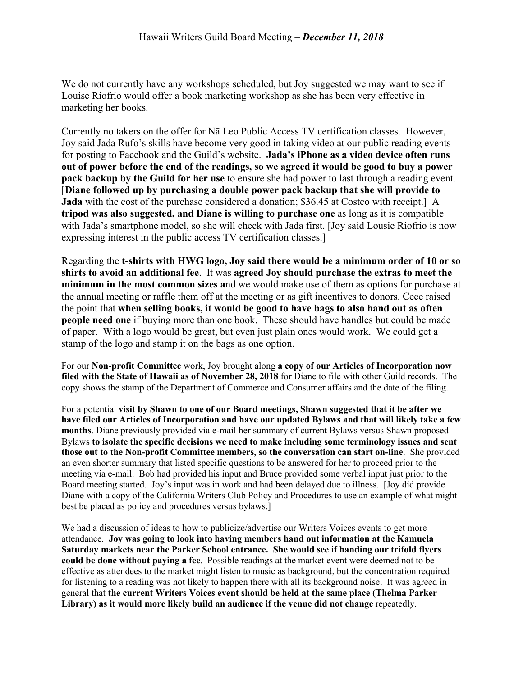We do not currently have any workshops scheduled, but Joy suggested we may want to see if Louise Riofrio would offer a book marketing workshop as she has been very effective in marketing her books.

Currently no takers on the offer for Nā Leo Public Access TV certification classes. However, Joy said Jada Rufo's skills have become very good in taking video at our public reading events for posting to Facebook and the Guild's website. **Jada's iPhone as a video device often runs out of power before the end of the readings, so we agreed it would be good to buy a power pack backup by the Guild for her use** to ensure she had power to last through a reading event. [**Diane followed up by purchasing a double power pack backup that she will provide to Jada** with the cost of the purchase considered a donation; \$36.45 at Costco with receipt.] A **tripod was also suggested, and Diane is willing to purchase one** as long as it is compatible with Jada's smartphone model, so she will check with Jada first. [Joy said Lousie Riofrio is now expressing interest in the public access TV certification classes.]

Regarding the **t-shirts with HWG logo, Joy said there would be a minimum order of 10 or so shirts to avoid an additional fee**. It was **agreed Joy should purchase the extras to meet the minimum in the most common sizes a**nd we would make use of them as options for purchase at the annual meeting or raffle them off at the meeting or as gift incentives to donors. Cece raised the point that **when selling books, it would be good to have bags to also hand out as often people need one** if buying more than one book. These should have handles but could be made of paper. With a logo would be great, but even just plain ones would work. We could get a stamp of the logo and stamp it on the bags as one option.

For our **Non-profit Committee** work, Joy brought along **a copy of our Articles of Incorporation now filed with the State of Hawaii as of November 28, 2018** for Diane to file with other Guild records. The copy shows the stamp of the Department of Commerce and Consumer affairs and the date of the filing.

For a potential **visit by Shawn to one of our Board meetings, Shawn suggested that it be after we have filed our Articles of Incorporation and have our updated Bylaws and that will likely take a few months**. Diane previously provided via e-mail her summary of current Bylaws versus Shawn proposed Bylaws **to isolate the specific decisions we need to make including some terminology issues and sent those out to the Non-profit Committee members, so the conversation can start on-line**. She provided an even shorter summary that listed specific questions to be answered for her to proceed prior to the meeting via e-mail. Bob had provided his input and Bruce provided some verbal input just prior to the Board meeting started. Joy's input was in work and had been delayed due to illness. [Joy did provide Diane with a copy of the California Writers Club Policy and Procedures to use an example of what might best be placed as policy and procedures versus bylaws.]

We had a discussion of ideas to how to publicize/advertise our Writers Voices events to get more attendance. **Joy was going to look into having members hand out information at the Kamuela Saturday markets near the Parker School entrance. She would see if handing our trifold flyers could be done without paying a fee**. Possible readings at the market event were deemed not to be effective as attendees to the market might listen to music as background, but the concentration required for listening to a reading was not likely to happen there with all its background noise. It was agreed in general that **the current Writers Voices event should be held at the same place (Thelma Parker Library) as it would more likely build an audience if the venue did not change** repeatedly.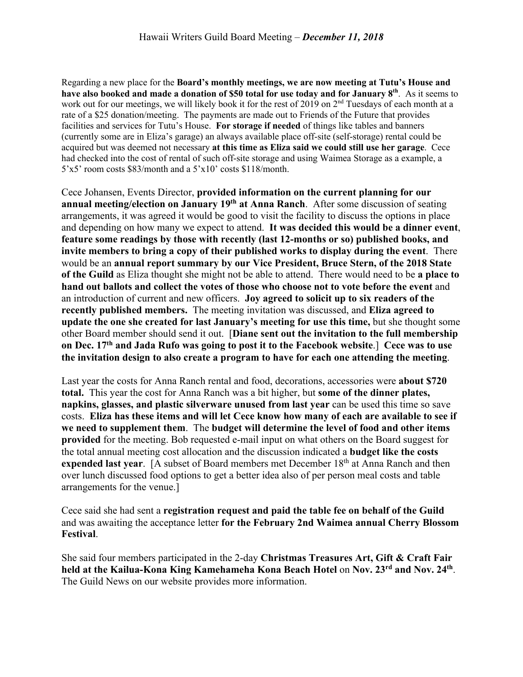Regarding a new place for the **Board's monthly meetings, we are now meeting at Tutu's House and have also booked and made a donation of \$50 total for use today and for January 8th**. As it seems to work out for our meetings, we will likely book it for the rest of 2019 on 2<sup>nd</sup> Tuesdays of each month at a rate of a \$25 donation/meeting. The payments are made out to Friends of the Future that provides facilities and services for Tutu's House. **For storage if needed** of things like tables and banners (currently some are in Eliza's garage) an always available place off-site (self-storage) rental could be acquired but was deemed not necessary **at this time as Eliza said we could still use her garage**. Cece had checked into the cost of rental of such off-site storage and using Waimea Storage as a example, a 5'x5' room costs \$83/month and a 5'x10' costs \$118/month.

Cece Johansen, Events Director, **provided information on the current planning for our annual meeting/election on January 19th at Anna Ranch**. After some discussion of seating arrangements, it was agreed it would be good to visit the facility to discuss the options in place and depending on how many we expect to attend. **It was decided this would be a dinner event**, **feature some readings by those with recently (last 12-months or so) published books, and invite members to bring a copy of their published works to display during the event**. There would be an **annual report summary by our Vice President, Bruce Stern, of the 2018 State of the Guild** as Eliza thought she might not be able to attend. There would need to be **a place to hand out ballots and collect the votes of those who choose not to vote before the event** and an introduction of current and new officers. **Joy agreed to solicit up to six readers of the recently published members.** The meeting invitation was discussed, and **Eliza agreed to update the one she created for last January's meeting for use this time,** but she thought some other Board member should send it out. [**Diane sent out the invitation to the full membership on Dec. 17th and Jada Rufo was going to post it to the Facebook website**.] **Cece was to use the invitation design to also create a program to have for each one attending the meeting**.

Last year the costs for Anna Ranch rental and food, decorations, accessories were **about \$720 total.** This year the cost for Anna Ranch was a bit higher, but **some of the dinner plates, napkins, glasses, and plastic silverware unused from last year** can be used this time so save costs. **Eliza has these items and will let Cece know how many of each are available to see if we need to supplement them**. The **budget will determine the level of food and other items provided** for the meeting. Bob requested e-mail input on what others on the Board suggest for the total annual meeting cost allocation and the discussion indicated a **budget like the costs**  expended last year. [A subset of Board members met December 18<sup>th</sup> at Anna Ranch and then over lunch discussed food options to get a better idea also of per person meal costs and table arrangements for the venue.]

Cece said she had sent a **registration request and paid the table fee on behalf of the Guild** and was awaiting the acceptance letter **for the February 2nd Waimea annual Cherry Blossom Festival**.

She said four members participated in the 2-day **Christmas Treasures Art, Gift & Craft Fair held at the Kailua-Kona King Kamehameha Kona Beach Hotel** on **Nov. 23rd and Nov. 24th**. The Guild News on our website provides more information.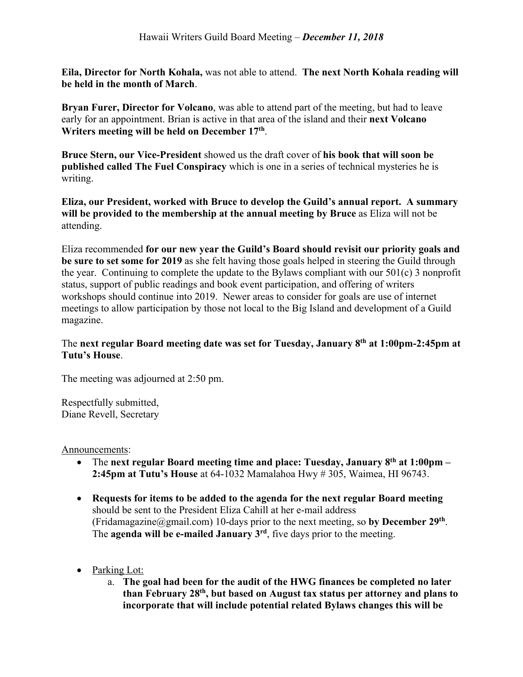**Eila, Director for North Kohala,** was not able to attend. **The next North Kohala reading will be held in the month of March**.

**Bryan Furer, Director for Volcano**, was able to attend part of the meeting, but had to leave early for an appointment. Brian is active in that area of the island and their **next Volcano Writers meeting will be held on December 17th**.

**Bruce Stern, our Vice-President** showed us the draft cover of **his book that will soon be published called The Fuel Conspiracy** which is one in a series of technical mysteries he is writing.

**Eliza, our President, worked with Bruce to develop the Guild's annual report. A summary will be provided to the membership at the annual meeting by Bruce** as Eliza will not be attending.

Eliza recommended **for our new year the Guild's Board should revisit our priority goals and be sure to set some for 2019** as she felt having those goals helped in steering the Guild through the year. Continuing to complete the update to the Bylaws compliant with our 501(c) 3 nonprofit status, support of public readings and book event participation, and offering of writers workshops should continue into 2019. Newer areas to consider for goals are use of internet meetings to allow participation by those not local to the Big Island and development of a Guild magazine.

## The **next regular Board meeting date was set for Tuesday, January 8th at 1:00pm-2:45pm at Tutu's House**.

The meeting was adjourned at 2:50 pm.

Respectfully submitted, Diane Revell, Secretary

## Announcements:

- The **next regular Board meeting time and place: Tuesday, January 8th at 1:00pm – 2:45pm at Tutu's House** at 64-1032 Mamalahoa Hwy # 305, Waimea, HI 96743.
- **Requests for items to be added to the agenda for the next regular Board meeting** should be sent to the President Eliza Cahill at her e-mail address (Fridamagazine@gmail.com) 10-days prior to the next meeting, so **by December 29th**. The **agenda will be e-mailed January 3rd**, five days prior to the meeting.
- Parking Lot:
	- a. **The goal had been for the audit of the HWG finances be completed no later than February 28th, but based on August tax status per attorney and plans to incorporate that will include potential related Bylaws changes this will be**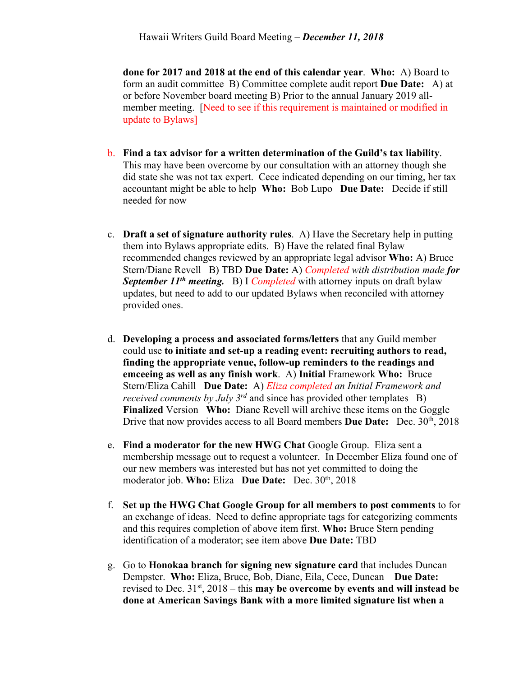**done for 2017 and 2018 at the end of this calendar year**. **Who:** A) Board to form an audit committee B) Committee complete audit report **Due Date:** A) at or before November board meeting B) Prior to the annual January 2019 allmember meeting. [Need to see if this requirement is maintained or modified in update to Bylaws]

- b. **Find a tax advisor for a written determination of the Guild's tax liability**. This may have been overcome by our consultation with an attorney though she did state she was not tax expert. Cece indicated depending on our timing, her tax accountant might be able to help **Who:** Bob Lupo **Due Date:** Decide if still needed for now
- c. **Draft a set of signature authority rules**. A) Have the Secretary help in putting them into Bylaws appropriate edits. B) Have the related final Bylaw recommended changes reviewed by an appropriate legal advisor **Who:** A) Bruce Stern/Diane Revell B) TBD **Due Date:** A) *Completed with distribution made for September 11th meeting.* B) I *Completed* with attorney inputs on draft bylaw updates, but need to add to our updated Bylaws when reconciled with attorney provided ones.
- d. **Developing a process and associated forms/letters** that any Guild member could use **to initiate and set-up a reading event: recruiting authors to read, finding the appropriate venue, follow-up reminders to the readings and emceeing as well as any finish work**. A) **Initial** Framework **Who:** Bruce Stern/Eliza Cahill **Due Date:** A) *Eliza completed an Initial Framework and received comments by July 3<sup>rd</sup>* and since has provided other templates B) **Finalized** Version **Who:** Diane Revell will archive these items on the Goggle Drive that now provides access to all Board members **Due Date:** Dec. 30th, 2018
- e. **Find a moderator for the new HWG Chat** Google Group. Eliza sent a membership message out to request a volunteer. In December Eliza found one of our new members was interested but has not yet committed to doing the moderator job. **Who:** Eliza **Due Date:** Dec. 30<sup>th</sup>, 2018
- f. **Set up the HWG Chat Google Group for all members to post comments** to for an exchange of ideas. Need to define appropriate tags for categorizing comments and this requires completion of above item first. **Who:** Bruce Stern pending identification of a moderator; see item above **Due Date:** TBD
- g. Go to **Honokaa branch for signing new signature card** that includes Duncan Dempster. **Who:** Eliza, Bruce, Bob, Diane, Eila, Cece, Duncan **Due Date:** revised to Dec. 31st, 2018 – this **may be overcome by events and will instead be done at American Savings Bank with a more limited signature list when a**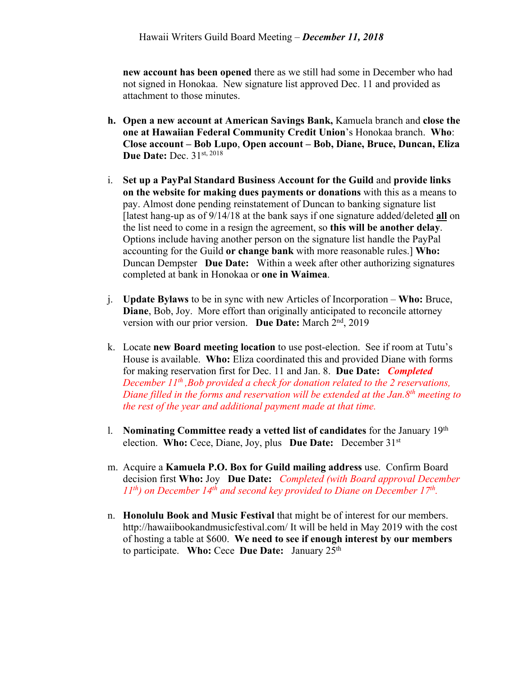**new account has been opened** there as we still had some in December who had not signed in Honokaa. New signature list approved Dec. 11 and provided as attachment to those minutes.

- **h. Open a new account at American Savings Bank,** Kamuela branch and **close the one at Hawaiian Federal Community Credit Union**'s Honokaa branch. **Who**: **Close account – Bob Lupo**, **Open account – Bob, Diane, Bruce, Duncan, Eliza Due Date: Dec. 31st, 2018**
- i. **Set up a PayPal Standard Business Account for the Guild** and **provide links on the website for making dues payments or donations** with this as a means to pay. Almost done pending reinstatement of Duncan to banking signature list [latest hang-up as of 9/14/18 at the bank says if one signature added/deleted **all** on the list need to come in a resign the agreement, so **this will be another delay**. Options include having another person on the signature list handle the PayPal accounting for the Guild **or change bank** with more reasonable rules.] **Who:** Duncan Dempster **Due Date:** Within a week after other authorizing signatures completed at bank in Honokaa or **one in Waimea**.
- j. **Update Bylaws** to be in sync with new Articles of Incorporation **Who:** Bruce, **Diane**, Bob, Joy. More effort than originally anticipated to reconcile attorney version with our prior version. **Due Date:** March 2nd, 2019
- k. Locate **new Board meeting location** to use post-election. See if room at Tutu's House is available. **Who:** Eliza coordinated this and provided Diane with forms for making reservation first for Dec. 11 and Jan. 8. **Due Date:** *Completed December 11th ,Bob provided a check for donation related to the 2 reservations, Diane filled in the forms and reservation will be extended at the Jan.8th meeting to the rest of the year and additional payment made at that time.*
- l. **Nominating Committee ready a vetted list of candidates** for the January 19th election. **Who:** Cece, Diane, Joy, plus **Due Date:** December 31st
- m. Acquire a **Kamuela P.O. Box for Guild mailing address** use. Confirm Board decision first **Who:** Joy **Due Date:** *Completed (with Board approval December 11th) on December 14th and second key provided to Diane on December 17th.*
- n. **Honolulu Book and Music Festival** that might be of interest for our members. http://hawaiibookandmusicfestival.com/ It will be held in May 2019 with the cost of hosting a table at \$600. **We need to see if enough interest by our members** to participate. **Who:** Cece **Due Date:** January 25th